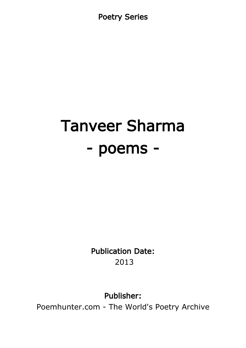Poetry Series

# Tanveer Sharma - poems -

Publication Date: 2013

Publisher:

Poemhunter.com - The World's Poetry Archive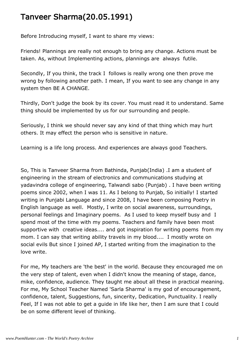# Tanveer Sharma(20.05.1991)

Before Introducing myself, I want to share my views:

Friends! Plannings are really not enough to bring any change. Actions must be taken. As, without Implementing actions, plannings are always futile.

Secondly, If you think, the track I follows is really wrong one then prove me wrong by following another path. I mean, If you want to see any change in any system then BE A CHANGE.

Thirdly, Don't judge the book by its cover. You must read it to understand. Same thing should be implemented by us for our surrounding and people.

Seriously, I think we should never say any kind of that thing which may hurt others. It may effect the person who is sensitive in nature.

Learning is a life long process. And experiences are always good Teachers.

So, This is Tanveer Sharma from Bathinda, Punjab(India) .I am a student of engineering in the stream of electronics and communications studying at yadavindra college of engineering, Talwandi sabo (Punjab) . I have been writing poems since 2002, when I was 11. As I belong to Punjab, So initially! I started writing in Punjabi Language and since 2008, I have been composing Poetry in English language as well. Mostly, I write on social awareness, surroundings, personal feelings and Imaginary poems. As I used to keep myself busy and I spend most of the time with my poems. Teachers and family have been most supportive with creative ideas.... and got inspiration for writing poems from my mom. I can say that writing ability travels in my blood.... I mostly wrote on social evils But since I joined AP, I started writing from the imagination to the love write.

For me, My teachers are 'the best' in the world. Because they encouraged me on the very step of talent, even when I didn't know the meaning of stage, dance, mike, confidence, audience. They taught me about all these in practical meaning. For me, My School Teacher Named 'Sarla Sharma' is my god of encouragement, confidence, talent, Suggestions, fun, sincerity, Dedication, Punctuality. I really Feel, If I was not able to get a guide in life like her, then I am sure that I could be on some different level of thinking.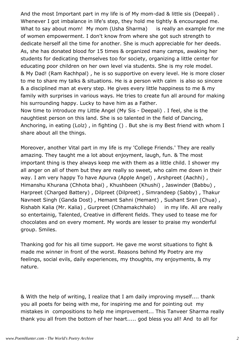And the most Important part in my life is of My mom-dad & little sis (Deepali) . Whenever I got imbalance in life's step, they hold me tightly & encouraged me. What to say about mom! My mom (Usha Sharma) is really an example for me of women empowerment. I don't know from where she got such strength to dedicate herself all the time for another. She is much appreciable for her deeds. As, she has donated blood for 15 times & organized many camps, awaking her students for dedicating themselves too for society, organizing a little center for educating poor children on her own level via students. She is my role model. & My Dad! (Ram Rachhpal) , he is so supportive on every level. He is more closer to me to share my talks & situations. He is a person with calm is also so sincere & a disciplined man at every step. He gives every little happiness to me & my family with surprises in various ways. He tries to create fun all around for making his surrounding happy. Lucky to have him as a Father.

Now time to introduce my Little Angel (My Sis - Deepali) . I feel, she is the naughtiest person on this land. She is so talented in the field of Dancing, Anchoring, in eating (Lolz) , in fighting () . But she is my Best friend with whom I share about all the things.

Moreover, another Vital part in my life is my 'College Friends.' They are really amazing. They taught me a lot about enjoyment, laugh, fun. & The most important thing is they always keep me with them as a little child. I shower my all anger on all of them but they are really so sweet, who calm me down in their way. I am very happy To have Apurva (Apple Angel) , Arshpreet (Aachhi) , Himanshu Khurana (Chhota bhai) , Khushbeen (Khushi) , Jaswinder (Babbu) , Harpreet (Charged Battery) , Dilpreet (Dilpreet) , Simrandeep (Sabby) , Thakur Navneet Singh (Ganda Dost) , Hemant Sahni (Hemant) , Sushant Sran (Chua) , Rishabh Kalia (Mr. Kalia) , Gurpreet (Chhamakchhalo) in my life. All are really so entertainig, Talented, Creative in different fields. They used to tease me for chocolates and on every moment. My words are lesser to praise my wonderful group. Smiles.

Thanking god for his all time support. He gave me worst situations to fight & made me winner in front of the worst. Reasons behind My Poetry are my feelings, social evils, daily experiences, my thoughts, my enjoyments, & my nature.

& With the help of writing, I realize that I am daily improving myself.... thank you all poets for being with me, for inspiring me and for pointing out my mistakes in compositions to help me improvement... This Tanveer Sharma really thank you all from the bottom of her heart..... god bless you all! And to all for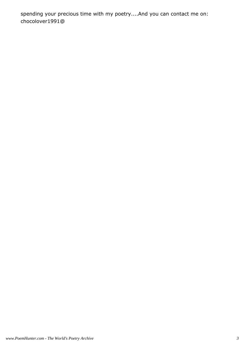spending your precious time with my poetry....And you can contact me on: chocolover1991@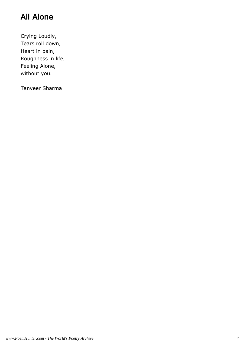# All Alone

Crying Loudly, Tears roll down, Heart in pain, Roughness in life, Feeling Alone, without you.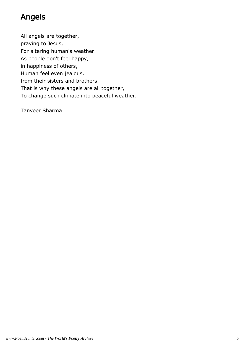# Angels

All angels are together,

praying to Jesus,

For altering human's weather.

As people don't feel happy,

in happiness of others,

Human feel even jealous,

from their sisters and brothers.

That is why these angels are all together,

To change such climate into peaceful weather.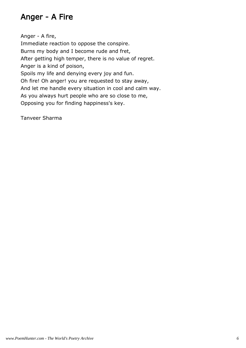#### Anger - A Fire

Anger - A fire, Immediate reaction to oppose the conspire. Burns my body and I become rude and fret, After getting high temper, there is no value of regret. Anger is a kind of poison, Spoils my life and denying every joy and fun. Oh fire! Oh anger! you are requested to stay away, And let me handle every situation in cool and calm way. As you always hurt people who are so close to me, Opposing you for finding happiness's key.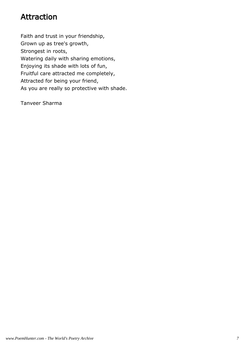#### Attraction

Faith and trust in your friendship, Grown up as tree's growth, Strongest in roots, Watering daily with sharing emotions, Enjoying its shade with lots of fun, Fruitful care attracted me completely, Attracted for being your friend, As you are really so protective with shade.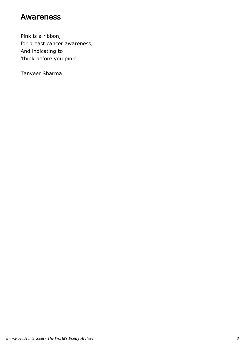#### Awareness

Pink is a ribbon, for breast cancer awareness, And indicating to 'think before you pink'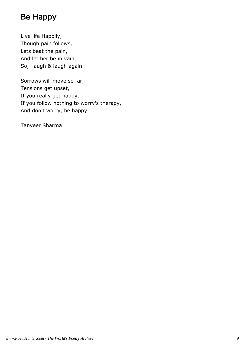# Be Happy

Live life Happily, Though pain follows, Lets beat the pain, And let her be in vain, So, laugh & laugh again.

Sorrows will move so far, Tensions get upset, If you really get happy, If you follow nothing to worry's therapy, And don't worry, be happy.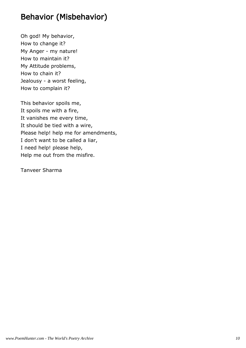## Behavior (Misbehavior)

Oh god! My behavior, How to change it? My Anger - my nature! How to maintain it? My Attitude problems, How to chain it? Jealousy - a worst feeling, How to complain it?

This behavior spoils me, It spoils me with a fire, It vanishes me every time, It should be tied with a wire, Please help! help me for amendments, I don't want to be called a liar, I need help! please help, Help me out from the misfire.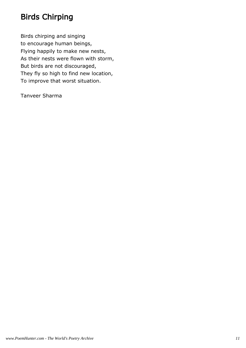# Birds Chirping

Birds chirping and singing to encourage human beings, Flying happily to make new nests, As their nests were flown with storm, But birds are not discouraged, They fly so high to find new location, To improve that worst situation.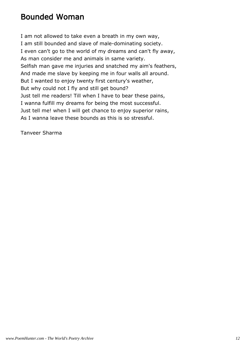#### Bounded Woman

I am not allowed to take even a breath in my own way, I am still bounded and slave of male-dominating society. I even can't go to the world of my dreams and can't fly away, As man consider me and animals in same variety. Selfish man gave me injuries and snatched my aim's feathers, And made me slave by keeping me in four walls all around. But I wanted to enjoy twenty first century's weather, But why could not I fly and still get bound? Just tell me readers! Till when I have to bear these pains, I wanna fulfill my dreams for being the most successful. Just tell me! when I will get chance to enjoy superior rains, As I wanna leave these bounds as this is so stressful.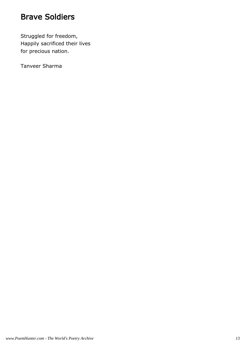#### Brave Soldiers

Struggled for freedom, Happily sacrificed their lives for precious nation.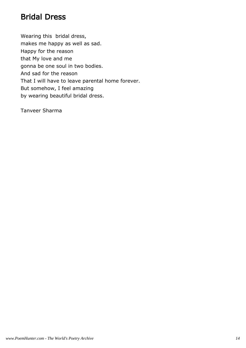#### Bridal Dress

Wearing this bridal dress, makes me happy as well as sad. Happy for the reason that My love and me gonna be one soul in two bodies. And sad for the reason That I will have to leave parental home forever. But somehow, I feel amazing by wearing beautiful bridal dress.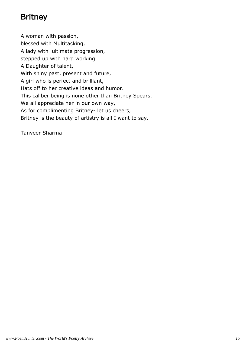## Britney

A woman with passion, blessed with Multitasking, A lady with ultimate progression, stepped up with hard working. A Daughter of talent, With shiny past, present and future, A girl who is perfect and brilliant, Hats off to her creative ideas and humor. This caliber being is none other than Britney Spears, We all appreciate her in our own way, As for complimenting Britney- let us cheers, Britney is the beauty of artistry is all I want to say.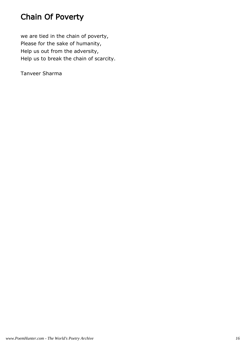# Chain Of Poverty

we are tied in the chain of poverty, Please for the sake of humanity, Help us out from the adversity, Help us to break the chain of scarcity.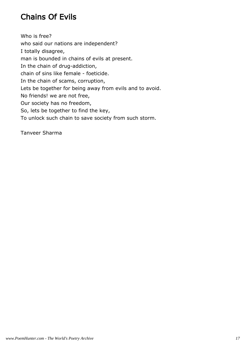# Chains Of Evils

Who is free? who said our nations are independent? I totally disagree, man is bounded in chains of evils at present. In the chain of drug-addiction, chain of sins like female - foeticide. In the chain of scams, corruption, Lets be together for being away from evils and to avoid. No friends! we are not free, Our society has no freedom, So, lets be together to find the key, To unlock such chain to save society from such storm.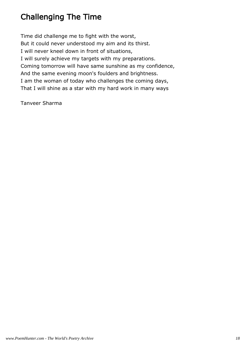# Challenging The Time

Time did challenge me to fight with the worst, But it could never understood my aim and its thirst. I will never kneel down in front of situations, I will surely achieve my targets with my preparations. Coming tomorrow will have same sunshine as my confidence, And the same evening moon's foulders and brightness. I am the woman of today who challenges the coming days, That I will shine as a star with my hard work in many ways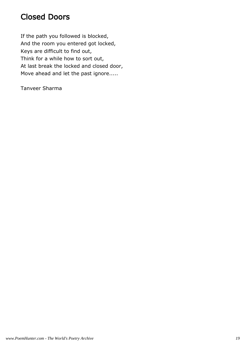#### Closed Doors

If the path you followed is blocked, And the room you entered got locked, Keys are difficult to find out, Think for a while how to sort out, At last break the locked and closed door, Move ahead and let the past ignore.....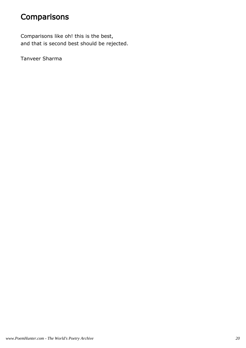# **Comparisons**

Comparisons like oh! this is the best, and that is second best should be rejected.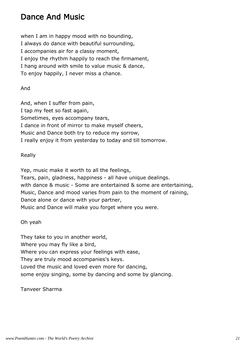#### Dance And Music

when I am in happy mood with no bounding, I always do dance with beautiful surrounding, I accompanies air for a classy moment, I enjoy the rhythm happily to reach the firmament, I hang around with smile to value music & dance, To enjoy happily, I never miss a chance.

And

And, when I suffer from pain, I tap my feet so fast again, Sometimes, eyes accompany tears, I dance in front of mirror to make myself cheers, Music and Dance both try to reduce my sorrow, I really enjoy it from yesterday to today and till tomorrow.

#### Really

Yep, music make it worth to all the feelings, Tears, pain, gladness, happiness - all have unique dealings. with dance & music - Some are entertained & some are entertaining, Music, Dance and mood varies from pain to the moment of raining, Dance alone or dance with your partner, Music and Dance will make you forget where you were.

#### Oh yeah

They take to you in another world, Where you may fly like a bird, Where you can express your feelings with ease, They are truly mood accompanies's keys. Loved the music and loved even more for dancing, some enjoy singing, some by dancing and some by glancing.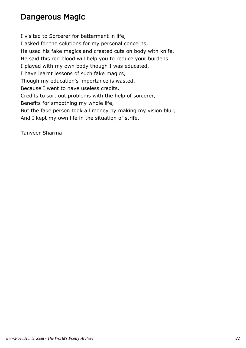#### Dangerous Magic

I visited to Sorcerer for betterment in life, I asked for the solutions for my personal concerns, He used his fake magics and created cuts on body with knife, He said this red blood will help you to reduce your burdens. I played with my own body though I was educated, I have learnt lessons of such fake magics, Though my education's importance is wasted, Because I went to have useless credits. Credits to sort out problems with the help of sorcerer, Benefits for smoothing my whole life, But the fake person took all money by making my vision blur, And I kept my own life in the situation of strife.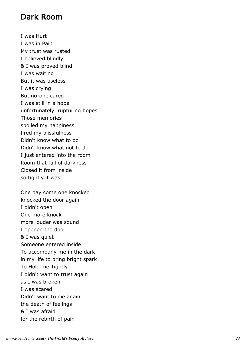#### Dark Room

I was Hurt I was in Pain My trust was rusted I believed blindly & I was proved blind I was waiting But it was useless I was crying But no-one cared I was still in a hope unfortunately, rupturing hopes Those memories spoiled my happiness fired my blissfulness Didn't know what to do Didn't know what not to do I just entered into the room Room that full of darkness Closed it from inside so tightly it was.

One day some one knocked knocked the door again I didn't open One more knock more louder was sound I opened the door & I was quiet Someone entered inside To accompany me in the dark in my life to bring bright spark To Hold me Tightly I didn't want to trust again as I was broken I was scared Didn't want to die again the death of feelings & I was afraid for the rebirth of pain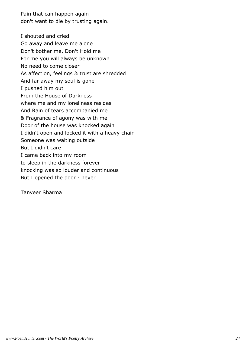Pain that can happen again don't want to die by trusting again.

I shouted and cried Go away and leave me alone Don't bother me, Don't Hold me For me you will always be unknown No need to come closer As affection, feelings & trust are shredded And far away my soul is gone I pushed him out From the House of Darkness where me and my loneliness resides And Rain of tears accompanied me & Fragrance of agony was with me Door of the house was knocked again I didn't open and locked it with a heavy chain Someone was waiting outside But I didn't care I came back into my room to sleep in the darkness forever knocking was so louder and continuous But I opened the door - never.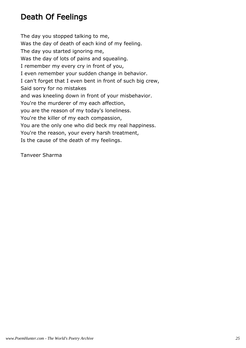## Death Of Feelings

The day you stopped talking to me, Was the day of death of each kind of my feeling. The day you started ignoring me, Was the day of lots of pains and squealing. I remember my every cry in front of you, I even remember your sudden change in behavior. I can't forget that I even bent in front of such big crew, Said sorry for no mistakes and was kneeling down in front of your misbehavior. You're the murderer of my each affection, you are the reason of my today's loneliness. You're the killer of my each compassion, You are the only one who did beck my real happiness. You're the reason, your every harsh treatment, Is the cause of the death of my feelings.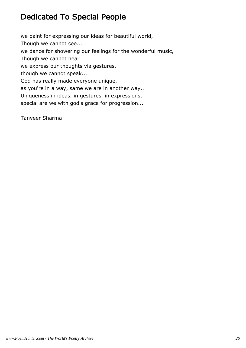### Dedicated To Special People

we paint for expressing our ideas for beautiful world, Though we cannot see.... we dance for showering our feelings for the wonderful music, Though we cannot hear.... we express our thoughts via gestures, though we cannot speak.... God has really made everyone unique, as you're in a way, same we are in another way.. Uniqueness in ideas, in gestures, in expressions, special are we with god's grace for progression...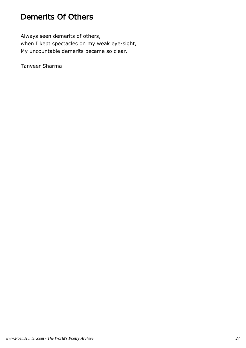#### Demerits Of Others

Always seen demerits of others, when I kept spectacles on my weak eye-sight, My uncountable demerits became so clear.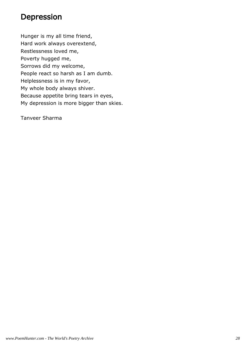#### Depression

Hunger is my all time friend, Hard work always overextend, Restlessness loved me, Poverty hugged me, Sorrows did my welcome, People react so harsh as I am dumb. Helplessness is in my favor, My whole body always shiver. Because appetite bring tears in eyes, My depression is more bigger than skies.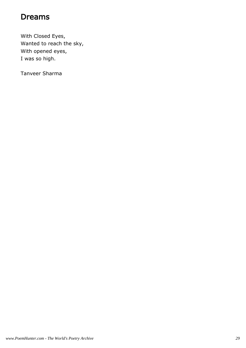#### Dreams

With Closed Eyes, Wanted to reach the sky, With opened eyes, I was so high.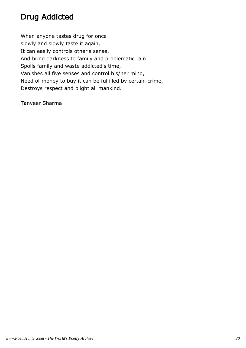# Drug Addicted

When anyone tastes drug for once slowly and slowly taste it again, It can easily controls other's sense, And bring darkness to family and problematic rain. Spoils family and waste addicted's time, Vanishes all five senses and control his/her mind, Need of money to buy it can be fulfilled by certain crime, Destroys respect and blight all mankind.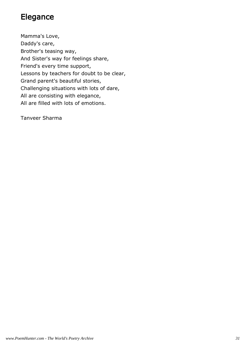#### Elegance

Mamma's Love, Daddy's care, Brother's teasing way, And Sister's way for feelings share, Friend's every time support, Lessons by teachers for doubt to be clear, Grand parent's beautiful stories, Challenging situations with lots of dare, All are consisting with elegance, All are filled with lots of emotions.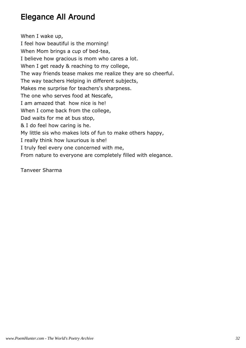### Elegance All Around

When I wake up, I feel how beautiful is the morning! When Mom brings a cup of bed-tea, I believe how gracious is mom who cares a lot. When I get ready & reaching to my college, The way friends tease makes me realize they are so cheerful. The way teachers Helping in different subjects, Makes me surprise for teachers's sharpness. The one who serves food at Nescafe, I am amazed that how nice is he! When I come back from the college, Dad waits for me at bus stop, & I do feel how caring is he. My little sis who makes lots of fun to make others happy, I really think how luxurious is she! I truly feel every one concerned with me, From nature to everyone are completely filled with elegance.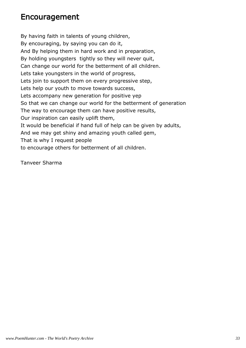#### Encouragement

By having faith in talents of young children, By encouraging, by saying you can do it, And By helping them in hard work and in preparation, By holding youngsters tightly so they will never quit, Can change our world for the betterment of all children. Lets take youngsters in the world of progress, Lets join to support them on every progressive step, Lets help our youth to move towards success, Lets accompany new generation for positive yep So that we can change our world for the betterment of generation The way to encourage them can have positive results, Our inspiration can easily uplift them, It would be beneficial if hand full of help can be given by adults, And we may get shiny and amazing youth called gem, That is why I request people to encourage others for betterment of all children.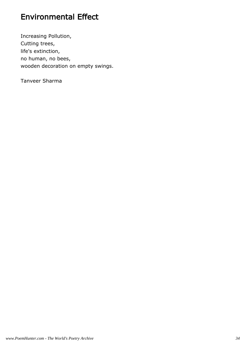## Environmental Effect

Increasing Pollution, Cutting trees, life's extinction, no human, no bees, wooden decoration on empty swings.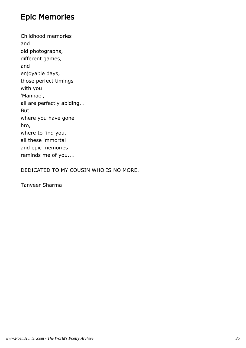#### Epic Memories

Childhood memories and old photographs, different games, and enjoyable days, those perfect timings with you 'Mannae', all are perfectly abiding... But where you have gone bro, where to find you, all these immortal and epic memories reminds me of you....

DEDICATED TO MY COUSIN WHO IS NO MORE.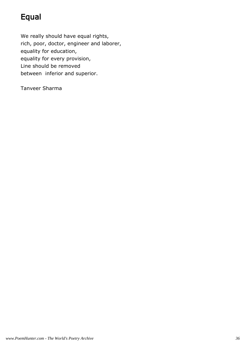## Equal

We really should have equal rights, rich, poor, doctor, engineer and laborer, equality for education, equality for every provision, Line should be removed between inferior and superior.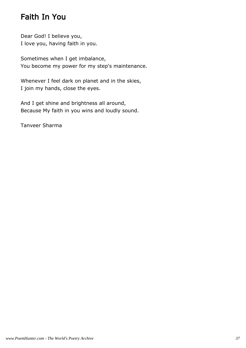## Faith In You

Dear God! I believe you, I love you, having faith in you.

Sometimes when I get imbalance, You become my power for my step's maintenance.

Whenever I feel dark on planet and in the skies, I join my hands, close the eyes.

And I get shine and brightness all around, Because My faith in you wins and loudly sound.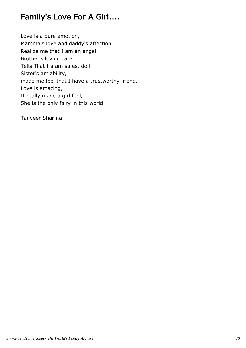## Family's Love For A Girl....

Love is a pure emotion, Mamma's love and daddy's affection, Realize me that I am an angel. Brother's loving care, Tells That I a am safest doll. Sister's amiability, made me feel that I have a trustworthy friend. Love is amazing, It really made a girl feel, She is the only fairy in this world.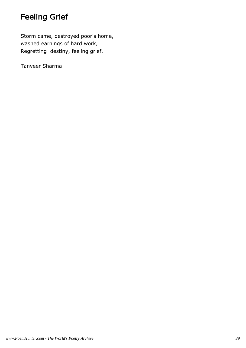## Feeling Grief

Storm came, destroyed poor's home, washed earnings of hard work, Regretting destiny, feeling grief.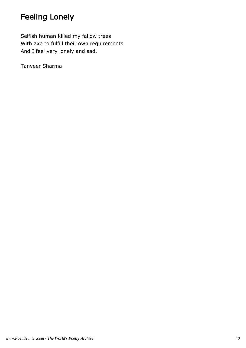# Feeling Lonely

Selfish human killed my fallow trees With axe to fulfill their own requirements And I feel very lonely and sad.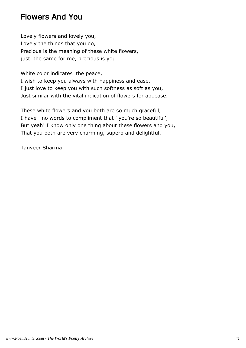#### Flowers And You

Lovely flowers and lovely you, Lovely the things that you do, Precious is the meaning of these white flowers, just the same for me, precious is you.

White color indicates the peace,

I wish to keep you always with happiness and ease, I just love to keep you with such softness as soft as you, Just similar with the vital indication of flowers for appease.

These white flowers and you both are so much graceful, I have no words to compliment that ' you're so beautiful', But yeah! I know only one thing about these flowers and you, That you both are very charming, superb and delightful.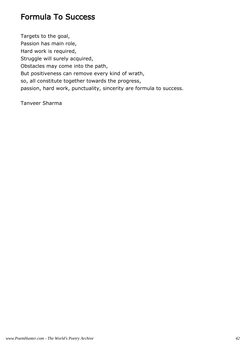### Formula To Success

Targets to the goal, Passion has main role, Hard work is required, Struggle will surely acquired, Obstacles may come into the path, But positiveness can remove every kind of wrath, so, all constitute together towards the progress, passion, hard work, punctuality, sincerity are formula to success.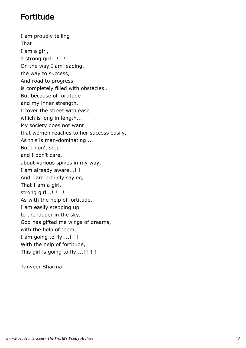#### Fortitude

I am proudly telling That I am a girl, a strong girl...!!! On the way I am leading, the way to success, And road to progress, is completely filled with obstacles.. But because of fortitude and my inner strength, I cover the street with ease which is long in length... My society does not want that women reaches to her success easily, As this is man-dominating... But I don't stop and I don't care, about various spikes in my way, I am already aware...! ! ! And I am proudly saying, That I am a girl, strong girl...!!!! As with the help of fortitude, I am easily stepping up to the ladder in the sky, God has gifted me wings of dreams, with the help of them, I am going to fly....! ! ! With the help of fortitude, This girl is going to fly....!!!!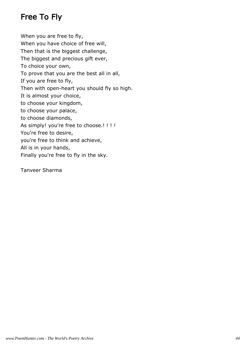## Free To Fly

When you are free to fly, When you have choice of free will, Then that is the biggest challenge, The biggest and precious gift ever, To choice your own, To prove that you are the best all in all, If you are free to fly, Then with open-heart you should fly so high. It is almost your choice, to choose your kingdom, to choose your palace, to choose diamonds, As simply! you're free to choose.!!!! You're free to desire, you're free to think and achieve, All is in your hands, Finally you're free to fly in the sky.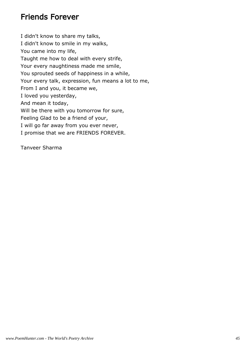#### Friends Forever

I didn't know to share my talks, I didn't know to smile in my walks, You came into my life, Taught me how to deal with every strife, Your every naughtiness made me smile, You sprouted seeds of happiness in a while, Your every talk, expression, fun means a lot to me, From I and you, it became we, I loved you yesterday, And mean it today, Will be there with you tomorrow for sure, Feeling Glad to be a friend of your, I will go far away from you ever never, I promise that we are FRIENDS FOREVER.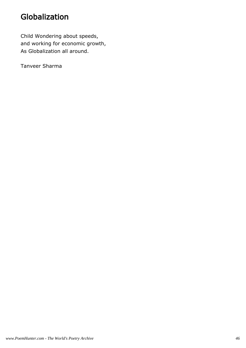### Globalization

Child Wondering about speeds, and working for economic growth, As Globalization all around.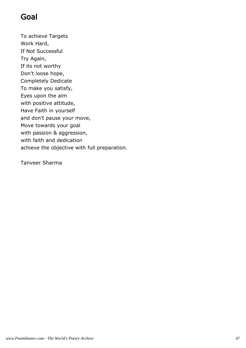### Goal

To achieve Targets Work Hard, If Not Successful Try Again, If its not worthy Don't loose hope, Completely Dedicate To make you satisfy, Eyes upon the aim with positive attitude, Have Faith in yourself and don't pause your move, Move towards your goal with passion & aggression, with faith and dedication achieve the objective with full preparation.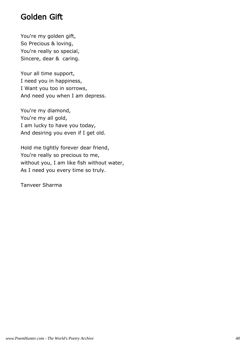### Golden Gift

You're my golden gift, So Precious & loving, You're really so special, Sincere, dear & caring.

Your all time support, I need you in happiness, I Want you too in sorrows, And need you when I am depress.

You're my diamond, You're my all gold, I am lucky to have you today, And desiring you even if I get old.

Hold me tightly forever dear friend, You're really so precious to me, without you, I am like fish without water, As I need you every time so truly.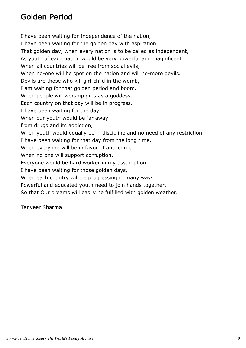#### Golden Period

I have been waiting for Independence of the nation, I have been waiting for the golden day with aspiration. That golden day, when every nation is to be called as independent, As youth of each nation would be very powerful and magnificent. When all countries will be free from social evils, When no-one will be spot on the nation and will no-more devils. Devils are those who kill girl-child in the womb, I am waiting for that golden period and boom. When people will worship girls as a goddess, Each country on that day will be in progress. I have been waiting for the day, When our youth would be far away from drugs and its addiction, When youth would equally be in discipline and no need of any restriction. I have been waiting for that day from the long time, When everyone will be in favor of anti-crime. When no one will support corruption, Everyone would be hard worker in my assumption. I have been waiting for those golden days, When each country will be progressing in many ways. Powerful and educated youth need to join hands together, So that Our dreams will easily be fulfilled with golden weather.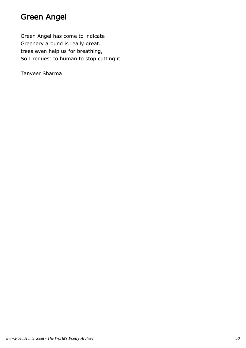### Green Angel

Green Angel has come to indicate Greenery around is really great. trees even help us for breathing, So I request to human to stop cutting it.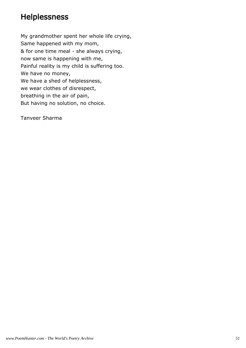#### **Helplessness**

My grandmother spent her whole life crying, Same happened with my mom, & for one time meal - she always crying, now same is happening with me, Painful reality is my child is suffering too. We have no money, We have a shed of helplessness, we wear clothes of disrespect, breathing in the air of pain, But having no solution, no choice.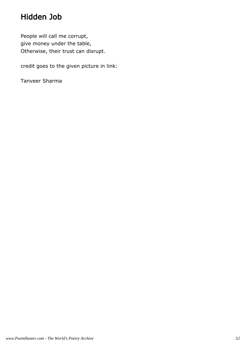## Hidden Job

People will call me corrupt, give money under the table, Otherwise, their trust can disrupt.

credit goes to the given picture in link: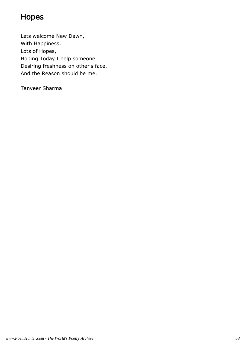## Hopes

Lets welcome New Dawn, With Happiness, Lots of Hopes, Hoping Today I help someone, Desiring freshness on other's face, And the Reason should be me.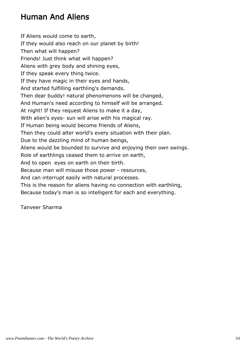## Human And Aliens

If Aliens would come to earth, If they would also reach on our planet by birth! Then what will happen? Friends! Just think what will happen? Aliens with grey body and shining eyes, If they speak every thing twice. If they have magic in their eyes and hands, And started fulfilling earthling's demands. Then dear buddy! natural phenomenons will be changed, And Human's need according to himself will be arranged. At night! If they request Aliens to make it a day, With alien's eyes- sun will arise with his magical ray. If Human being would become friends of Aliens, Then they could alter world's every situation with their plan. Due to the dazzling mind of human beings, Aliens would be bounded to survive and enjoying their own swings. Role of earthlings ceased them to arrive on earth, And to open eyes on earth on their birth. Because man will misuse those power - resources, And can interrupt easily with natural processes. This is the reason for aliens having no connection with earthling, Because today's man is so intelligent for each and everything.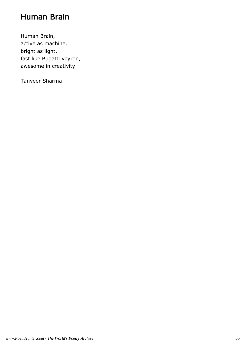#### Human Brain

Human Brain, active as machine, bright as light, fast like Bugatti veyron, awesome in creativity.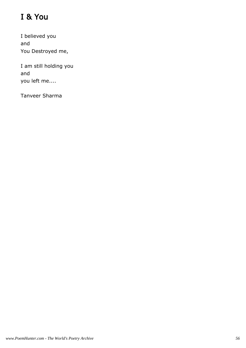# I & You

I believed you and You Destroyed me,

I am still holding you and you left me....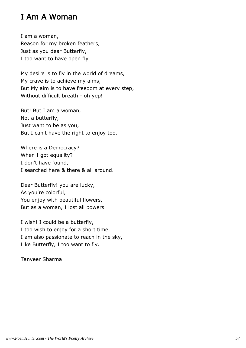#### I Am A Woman

I am a woman, Reason for my broken feathers, Just as you dear Butterfly, I too want to have open fly.

My desire is to fly in the world of dreams, My crave is to achieve my aims, But My aim is to have freedom at every step, Without difficult breath - oh yep!

But! But I am a woman, Not a butterfly, Just want to be as you, But I can't have the right to enjoy too.

Where is a Democracy? When I got equality? I don't have found, I searched here & there & all around.

Dear Butterfly! you are lucky, As you're colorful, You enjoy with beautiful flowers, But as a woman, I lost all powers.

I wish! I could be a butterfly, I too wish to enjoy for a short time, I am also passionate to reach in the sky, Like Butterfly, I too want to fly.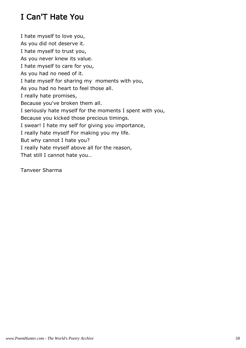# I Can'T Hate You

I hate myself to love you, As you did not deserve it. I hate myself to trust you, As you never knew its value. I hate myself to care for you, As you had no need of it. I hate myself for sharing my moments with you, As you had no heart to feel those all. I really hate promises, Because you've broken them all. I seriously hate myself for the moments I spent with you, Because you kicked those precious timings. I swear! I hate my self for giving you importance, I really hate myself For making you my life. But why cannot I hate you? I really hate myself above all for the reason, That still I cannot hate you..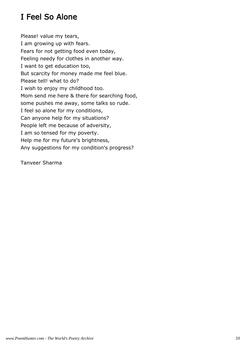## I Feel So Alone

Please! value my tears, I am growing up with fears. Fears for not getting food even today, Feeling needy for clothes in another way. I want to get education too, But scarcity for money made me feel blue. Please tell! what to do? I wish to enjoy my childhood too. Mom send me here & there for searching food, some pushes me away, some talks so rude. I feel so alone for my conditions, Can anyone help for my situations? People left me because of adversity, I am so tensed for my poverty. Help me for my future's brightness, Any suggestions for my condition's progress?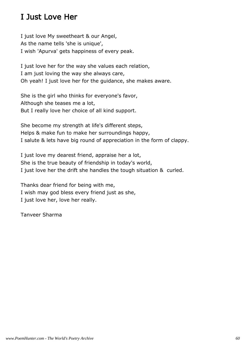#### I Just Love Her

I just love My sweetheart & our Angel, As the name tells 'she is unique', I wish 'Apurva' gets happiness of every peak.

I just love her for the way she values each relation, I am just loving the way she always care, Oh yeah! I just love her for the guidance, she makes aware.

She is the girl who thinks for everyone's favor, Although she teases me a lot, But I really love her choice of all kind support.

She become my strength at life's different steps, Helps & make fun to make her surroundings happy, I salute & lets have big round of appreciation in the form of clappy.

I just love my dearest friend, appraise her a lot, She is the true beauty of friendship in today's world, I just love her the drift she handles the tough situation & curled.

Thanks dear friend for being with me, I wish may god bless every friend just as she, I just love her, love her really.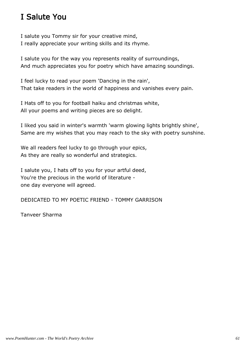## I Salute You

I salute you Tommy sir for your creative mind, I really appreciate your writing skills and its rhyme.

I salute you for the way you represents reality of surroundings, And much appreciates you for poetry which have amazing soundings.

I feel lucky to read your poem 'Dancing in the rain', That take readers in the world of happiness and vanishes every pain.

I Hats off to you for football haiku and christmas white, All your poems and writing pieces are so delight.

I liked you said in winter's warmth 'warm glowing lights brightly shine', Same are my wishes that you may reach to the sky with poetry sunshine.

We all readers feel lucky to go through your epics, As they are really so wonderful and strategics.

I salute you, I hats off to you for your artful deed, You're the precious in the world of literature one day everyone will agreed.

DEDICATED TO MY POETIC FRIEND - TOMMY GARRISON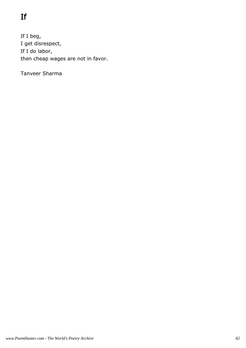# If

If I beg, I get disrespect, If I do labor, then cheap wages are not in favor.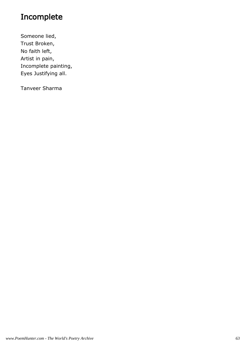## Incomplete

Someone lied, Trust Broken, No faith left, Artist in pain, Incomplete painting, Eyes Justifying all.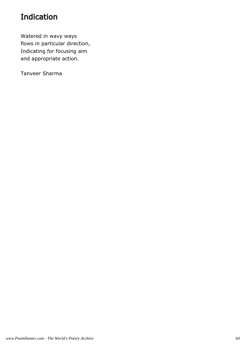## Indication

Watered in wavy ways flows in particular direction, Indicating for focusing aim and appropriate action.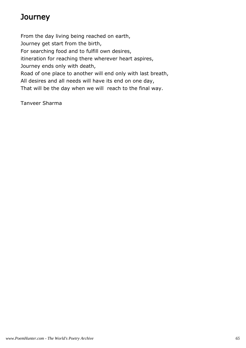## **Journey**

From the day living being reached on earth, Journey get start from the birth, For searching food and to fulfill own desires, itineration for reaching there wherever heart aspires, Journey ends only with death, Road of one place to another will end only with last breath, All desires and all needs will have its end on one day, That will be the day when we will reach to the final way.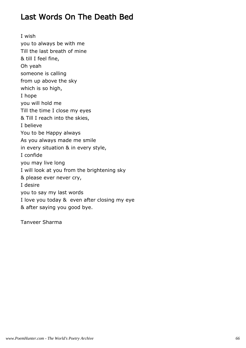#### Last Words On The Death Bed

I wish you to always be with me Till the last breath of mine & till I feel fine, Oh yeah someone is calling from up above the sky which is so high, I hope you will hold me Till the time I close my eyes & Till I reach into the skies, I believe You to be Happy always As you always made me smile in every situation & in every style, I confide you may live long I will look at you from the brightening sky & please ever never cry, I desire you to say my last words I love you today & even after closing my eye & after saying you good bye.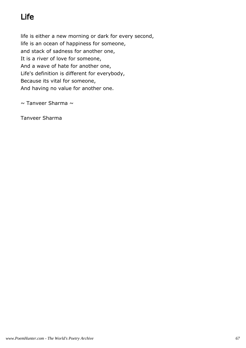# Life

life is either a new morning or dark for every second, life is an ocean of happiness for someone, and stack of sadness for another one, It is a river of love for someone, And a wave of hate for another one, Life's definition is different for everybody, Because its vital for someone, And having no value for another one.

 $\sim$  Tanveer Sharma  $\sim$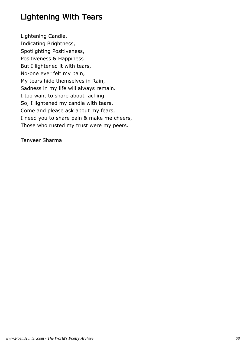## Lightening With Tears

Lightening Candle, Indicating Brightness, Spotlighting Positiveness, Positiveness & Happiness. But I lightened it with tears, No-one ever felt my pain, My tears hide themselves in Rain, Sadness in my life will always remain. I too want to share about aching, So, I lightened my candle with tears, Come and please ask about my fears, I need you to share pain & make me cheers, Those who rusted my trust were my peers.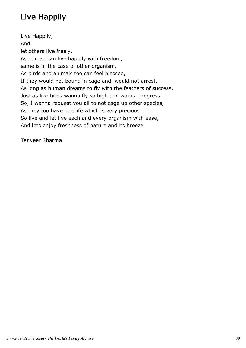# Live Happily

Live Happily, And let others live freely. As human can live happily with freedom, same is in the case of other organism. As birds and animals too can feel blessed, If they would not bound in cage and would not arrest. As long as human dreams to fly with the feathers of success, Just as like birds wanna fly so high and wanna progress. So, I wanna request you all to not cage up other species, As they too have one life which is very precious. So live and let live each and every organism with ease, And lets enjoy freshness of nature and its breeze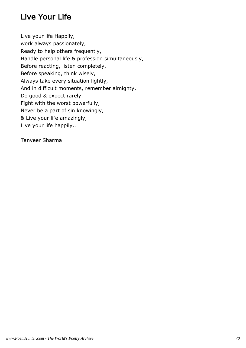## Live Your Life

Live your life Happily, work always passionately, Ready to help others frequently, Handle personal life & profession simultaneously, Before reacting, listen completely, Before speaking, think wisely, Always take every situation lightly, And in difficult moments, remember almighty, Do good & expect rarely, Fight with the worst powerfully, Never be a part of sin knowingly, & Live your life amazingly, Live your life happily..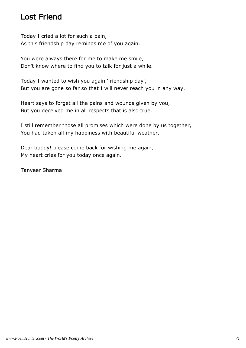#### Lost Friend

Today I cried a lot for such a pain, As this friendship day reminds me of you again.

You were always there for me to make me smile, Don't know where to find you to talk for just a while.

Today I wanted to wish you again 'friendship day', But you are gone so far so that I will never reach you in any way.

Heart says to forget all the pains and wounds given by you, But you deceived me in all respects that is also true.

I still remember those all promises which were done by us together, You had taken all my happiness with beautiful weather.

Dear buddy! please come back for wishing me again, My heart cries for you today once again.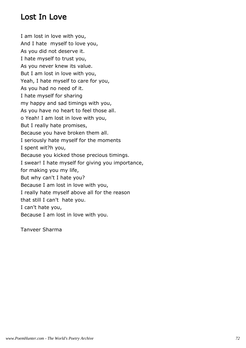### Lost In Love

I am lost in love with you, And I hate myself to love you, As you did not deserve it. I hate myself to trust you, As you never knew its value. But I am lost in love with you, Yeah, I hate myself to care for you, As you had no need of it. I hate myself for sharing my happy and sad timings with you, As you have no heart to feel those all. o Yeah! I am lost in love with you, But I really hate promises, Because you have broken them all. I seriously hate myself for the moments I spent wit?h you, Because you kicked those precious timings. I swear! I hate myself for giving you importance, for making you my life, But why can't I hate you? Because I am lost in love with you, I really hate myself above all for the reason that still I can't hate you. I can't hate you, Because I am lost in love with you.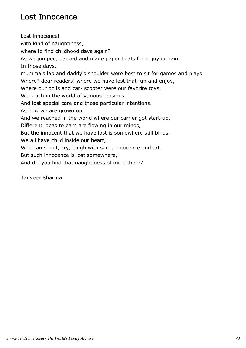### Lost Innocence

Lost innocence! with kind of naughtiness, where to find childhood days again? As we jumped, danced and made paper boats for enjoying rain. In those days, mumma's lap and daddy's shoulder were best to sit for games and plays. Where? dear readers! where we have lost that fun and enjoy, Where our dolls and car- scooter were our favorite toys. We reach in the world of various tensions, And lost special care and those particular intentions. As now we are grown up, And we reached in the world where our carrier got start-up. Different ideas to earn are flowing in our minds, But the innocent that we have lost is somewhere still binds. We all have child inside our heart, Who can shout, cry, laugh with same innocence and art. But such innocence is lost somewhere, And did you find that naughtiness of mine there?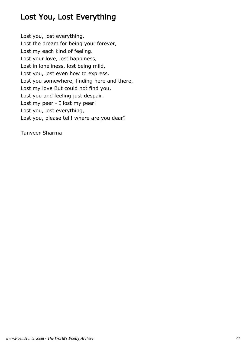## Lost You, Lost Everything

Lost you, lost everything, Lost the dream for being your forever, Lost my each kind of feeling. Lost your love, lost happiness, Lost in loneliness, lost being mild, Lost you, lost even how to express. Lost you somewhere, finding here and there, Lost my love But could not find you, Lost you and feeling just despair. Lost my peer - I lost my peer! Lost you, lost everything, Lost you, please tell! where are you dear?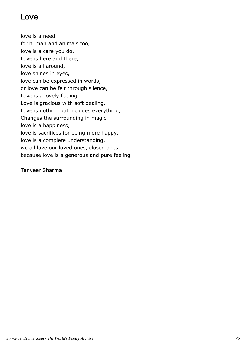### Love

love is a need for human and animals too, love is a care you do, Love is here and there, love is all around, love shines in eyes, love can be expressed in words, or love can be felt through silence, Love is a lovely feeling, Love is gracious with soft dealing, Love is nothing but includes everything, Changes the surrounding in magic, love is a happiness, love is sacrifices for being more happy, love is a complete understanding, we all love our loved ones, closed ones, because love is a generous and pure feeling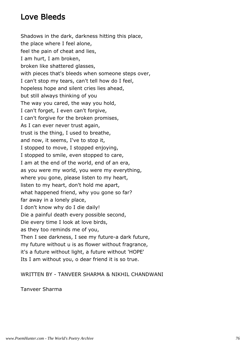### Love Bleeds

Shadows in the dark, darkness hitting this place, the place where I feel alone, feel the pain of cheat and lies, I am hurt, I am broken, broken like shattered glasses, with pieces that's bleeds when someone steps over, I can't stop my tears, can't tell how do I feel, hopeless hope and silent cries lies ahead, but still always thinking of you The way you cared, the way you hold, I can't forget, I even can't forgive, I can't forgive for the broken promises, As I can ever never trust again, trust is the thing, I used to breathe, and now, it seems, I've to stop it, I stopped to move, I stopped enjoying, I stopped to smile, even stopped to care, I am at the end of the world, end of an era, as you were my world, you were my everything, where you gone, please listen to my heart, listen to my heart, don't hold me apart, what happened friend, why you gone so far? far away in a lonely place, I don't know why do I die daily! Die a painful death every possible second, Die every time I look at love birds, as they too reminds me of you, Then I see darkness, I see my future-a dark future, my future without u is as flower without fragrance, it's a future without light, a future without 'HOPE' Its I am without you, o dear friend it is so true.

WRITTEN BY - TANVEER SHARMA & NIKHIL CHANDWANI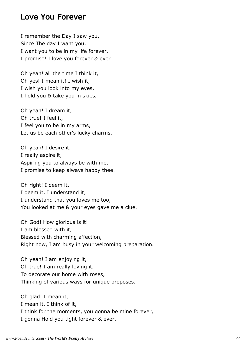#### Love You Forever

I remember the Day I saw you, Since The day I want you, I want you to be in my life forever, I promise! I love you forever & ever.

Oh yeah! all the time I think it, Oh yes! I mean it! I wish it, I wish you look into my eyes, I hold you & take you in skies,

Oh yeah! I dream it, Oh true! I feel it, I feel you to be in my arms, Let us be each other's lucky charms.

Oh yeah! I desire it, I really aspire it, Aspiring you to always be with me, I promise to keep always happy thee.

Oh right! I deem it, I deem it, I understand it, I understand that you loves me too, You looked at me & your eyes gave me a clue.

Oh God! How glorious is it! I am blessed with it, Blessed with charming affection, Right now, I am busy in your welcoming preparation.

Oh yeah! I am enjoying it, Oh true! I am really loving it, To decorate our home with roses, Thinking of various ways for unique proposes.

Oh glad! I mean it, I mean it, I think of it, I think for the moments, you gonna be mine forever, I gonna Hold you tight forever & ever.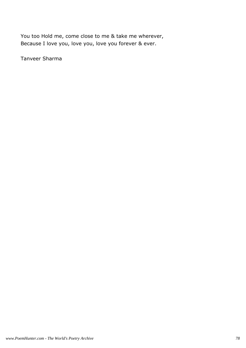You too Hold me, come close to me & take me wherever, Because I love you, love you, love you forever & ever.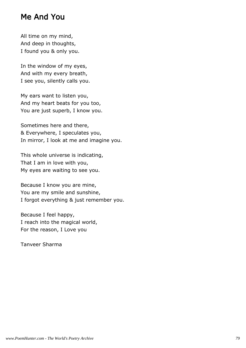#### Me And You

All time on my mind, And deep in thoughts, I found you & only you.

In the window of my eyes, And with my every breath, I see you, silently calls you.

My ears want to listen you, And my heart beats for you too, You are just superb, I know you.

Sometimes here and there, & Everywhere, I speculates you, In mirror, I look at me and imagine you.

This whole universe is indicating, That I am in love with you, My eyes are waiting to see you.

Because I know you are mine, You are my smile and sunshine, I forgot everything & just remember you.

Because I feel happy, I reach into the magical world, For the reason, I Love you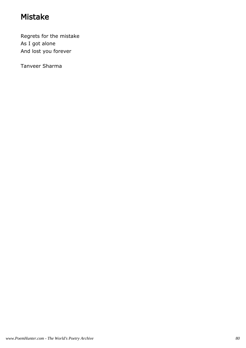## Mistake

Regrets for the mistake As I got alone And lost you forever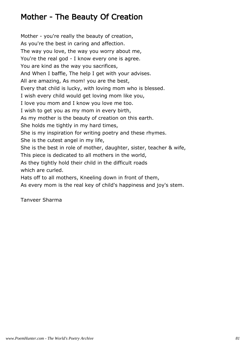## Mother - The Beauty Of Creation

Mother - you're really the beauty of creation, As you're the best in caring and affection. The way you love, the way you worry about me, You're the real god - I know every one is agree. You are kind as the way you sacrifices, And When I baffle, The help I get with your advises. All are amazing, As mom! you are the best, Every that child is lucky, with loving mom who is blessed. I wish every child would get loving mom like you, I love you mom and I know you love me too. I wish to get you as my mom in every birth, As my mother is the beauty of creation on this earth. She holds me tightly in my hard times, She is my inspiration for writing poetry and these rhymes. She is the cutest angel in my life, She is the best in role of mother, daughter, sister, teacher & wife, This piece is dedicated to all mothers in the world, As they tightly hold their child in the difficult roads which are curled. Hats off to all mothers, Kneeling down in front of them, As every mom is the real key of child's happiness and joy's stem.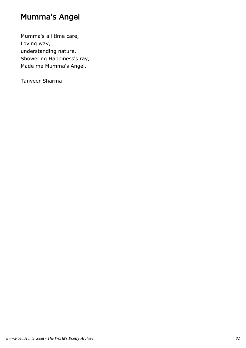## Mumma's Angel

Mumma's all time care, Loving way, understanding nature, Showering Happiness's ray, Made me Mumma's Angel.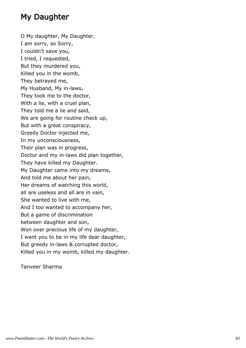## My Daughter

O My daughter, My Daughter, I am sorry, so Sorry, I couldn't save you, I tried, I requested, But they murdered you, Killed you in the womb, They betrayed me, My Husband, My in-laws, They took me to the doctor, With a lie, with a cruel plan, They told me a lie and said, We are going for routine check up, But with a great conspiracy, Greedy Doctor injected me, In my unconsciousness, Their plan was in progress, Doctor and my in-laws did plan together, They have killed my Daughter. My Daughter came into my dreams, And told me about her pain, Her dreams of watching this world, all are useless and all are in vain, She wanted to live with me, And I too wanted to accompany her, But a game of discrimination between daughter and son, Won over precious life of my daughter, I want you to be in my life dear daughter, But greedy in-laws & corrupted doctor, Killed you in my womb, killed my daughter.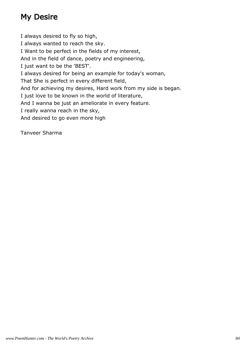## My Desire

I always desired to fly so high, I always wanted to reach the sky. I Want to be perfect in the fields of my interest, And in the field of dance, poetry and engineering, I just want to be the 'BEST'. I always desired for being an example for today's woman, That She is perfect in every different field, And for achieving my desires, Hard work from my side is began. I just love to be known in the world of literature, And I wanna be just an ameliorate in every feature. I really wanna reach in the sky, And desired to go even more high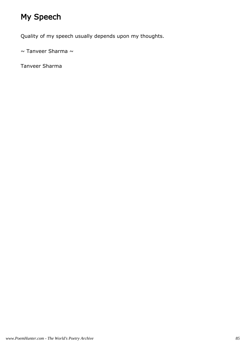# My Speech

Quality of my speech usually depends upon my thoughts.

 $\sim$  Tanveer Sharma  $\sim$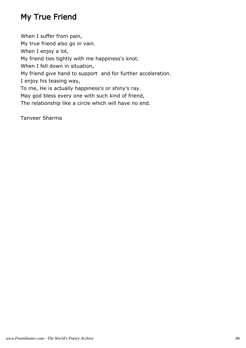## My True Friend

When I suffer from pain, My true friend also go in vain. When I enjoy a lot, My friend ties tightly with me happiness's knot. When I fell down in situation, My friend give hand to support and for further acceleration. I enjoy his teasing way, To me, He is actually happiness's or shiny's ray. May god bless every one with such kind of friend, The relationship like a circle which will have no end.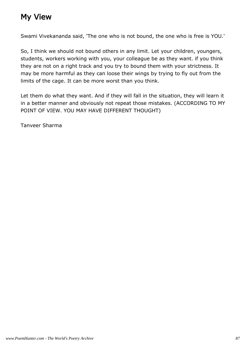## My View

Swami Vivekananda said, 'The one who is not bound, the one who is free is YOU.'

So, I think we should not bound others in any limit. Let your children, youngers, students, workers working with you, your colleague be as they want. if you think they are not on a right track and you try to bound them with your strictness. It may be more harmful as they can loose their wings by trying to fly out from the limits of the cage. It can be more worst than you think.

Let them do what they want. And if they will fall in the situation, they will learn it in a better manner and obviously not repeat those mistakes. (ACCORDING TO MY POINT OF VIEW. YOU MAY HAVE DIFFERENT THOUGHT)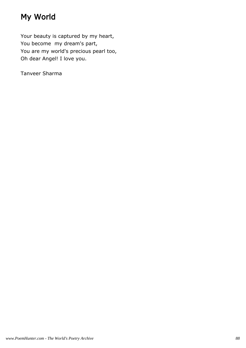## My World

Your beauty is captured by my heart, You become my dream's part, You are my world's precious pearl too, Oh dear Angel! I love you.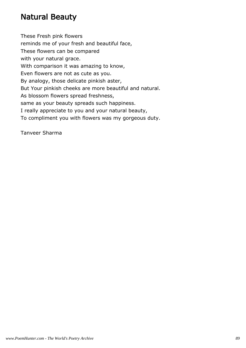### Natural Beauty

These Fresh pink flowers reminds me of your fresh and beautiful face, These flowers can be compared with your natural grace. With comparison it was amazing to know, Even flowers are not as cute as you. By analogy, those delicate pinkish aster, But Your pinkish cheeks are more beautiful and natural. As blossom flowers spread freshness, same as your beauty spreads such happiness. I really appreciate to you and your natural beauty, To compliment you with flowers was my gorgeous duty.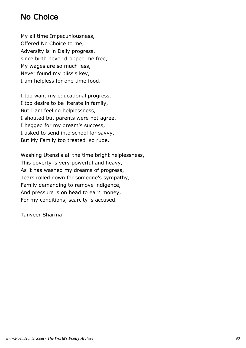### No Choice

My all time Impecuniousness, Offered No Choice to me, Adversity is in Daily progress, since birth never dropped me free, My wages are so much less, Never found my bliss's key, I am helpless for one time food.

I too want my educational progress, I too desire to be literate in family, But I am feeling helplessness, I shouted but parents were not agree, I begged for my dream's success, I asked to send into school for savvy, But My Family too treated so rude.

Washing Utensils all the time bright helplessness, This poverty is very powerful and heavy, As it has washed my dreams of progress, Tears rolled down for someone's sympathy, Family demanding to remove indigence, And pressure is on head to earn money, For my conditions, scarcity is accused.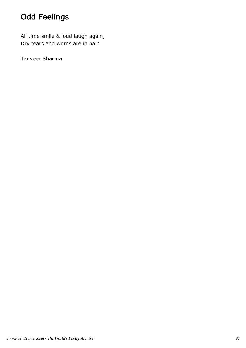## Odd Feelings

All time smile & loud laugh again, Dry tears and words are in pain.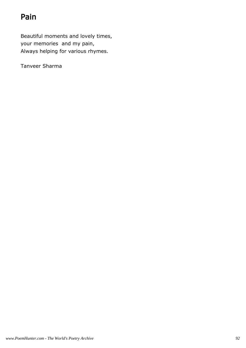## Pain

Beautiful moments and lovely times, your memories and my pain, Always helping for various rhymes.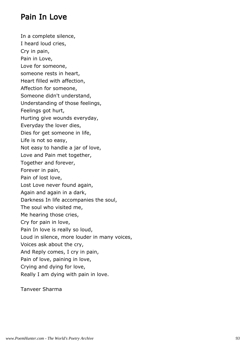### Pain In Love

In a complete silence, I heard loud cries, Cry in pain, Pain in Love, Love for someone, someone rests in heart, Heart filled with affection, Affection for someone, Someone didn't understand, Understanding of those feelings, Feelings got hurt, Hurting give wounds everyday, Everyday the lover dies, Dies for get someone in life, Life is not so easy, Not easy to handle a jar of love, Love and Pain met together, Together and forever, Forever in pain, Pain of lost love, Lost Love never found again, Again and again in a dark, Darkness In life accompanies the soul, The soul who visited me, Me hearing those cries, Cry for pain in love, Pain In love is really so loud, Loud in silence, more louder in many voices, Voices ask about the cry, And Reply comes, I cry in pain, Pain of love, paining in love, Crying and dying for love, Really I am dying with pain in love.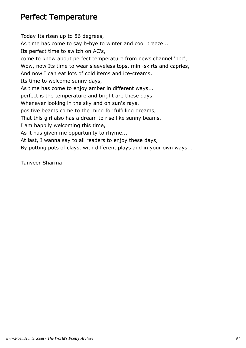#### Perfect Temperature

Today Its risen up to 86 degrees, As time has come to say b-bye to winter and cool breeze... Its perfect time to switch on AC's, come to know about perfect temperature from news channel 'bbc', Wow, now Its time to wear sleeveless tops, mini-skirts and capries, And now I can eat lots of cold items and ice-creams, Its time to welcome sunny days, As time has come to enjoy amber in different ways... perfect is the temperature and bright are these days, Whenever looking in the sky and on sun's rays, positive beams come to the mind for fulfilling dreams, That this girl also has a dream to rise like sunny beams. I am happily welcoming this time, As it has given me oppurtunity to rhyme... At last, I wanna say to all readers to enjoy these days, By potting pots of clays, with different plays and in your own ways...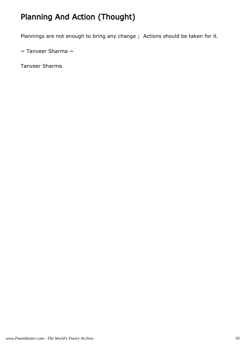## Planning And Action (Thought)

Plannings are not enough to bring any change ; Actions should be taken for it.

 $\sim$  Tanveer Sharma  $\sim$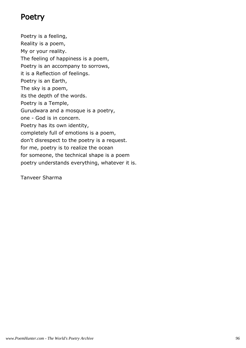#### Poetry

Poetry is a feeling, Reality is a poem, My or your reality. The feeling of happiness is a poem, Poetry is an accompany to sorrows, it is a Reflection of feelings. Poetry is an Earth, The sky is a poem, its the depth of the words. Poetry is a Temple, Gurudwara and a mosque is a poetry, one - God is in concern. Poetry has its own identity, completely full of emotions is a poem, don't disrespect to the poetry is a request. for me, poetry is to realize the ocean for someone, the technical shape is a poem poetry understands everything, whatever it is.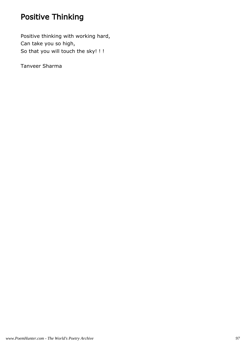## Positive Thinking

Positive thinking with working hard, Can take you so high, So that you will touch the sky! ! !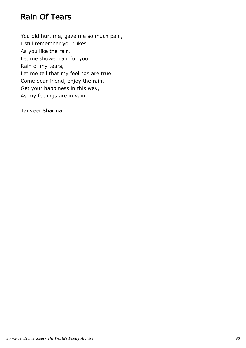### Rain Of Tears

You did hurt me, gave me so much pain, I still remember your likes, As you like the rain. Let me shower rain for you, Rain of my tears, Let me tell that my feelings are true. Come dear friend, enjoy the rain, Get your happiness in this way, As my feelings are in vain.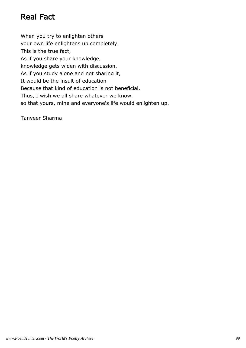## Real Fact

When you try to enlighten others your own life enlightens up completely. This is the true fact, As if you share your knowledge, knowledge gets widen with discussion. As if you study alone and not sharing it, It would be the insult of education Because that kind of education is not beneficial. Thus, I wish we all share whatever we know, so that yours, mine and everyone's life would enlighten up.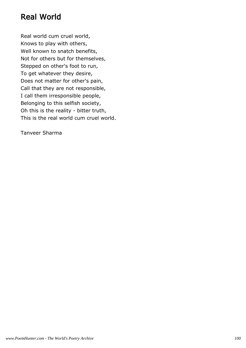### Real World

Real world cum cruel world, Knows to play with others, Well known to snatch benefits, Not for others but for themselves, Stepped on other's foot to run, To get whatever they desire, Does not matter for other's pain, Call that they are not responsible, I call them irresponsible people, Belonging to this selfish society, Oh this is the reality - bitter truth, This is the real world cum cruel world.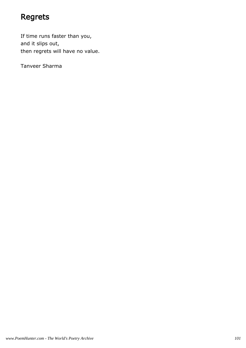## Regrets

If time runs faster than you, and it slips out, then regrets will have no value.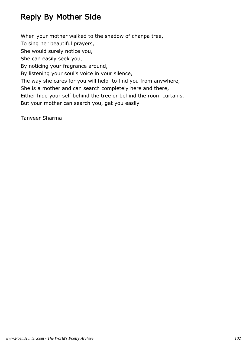## Reply By Mother Side

When your mother walked to the shadow of chanpa tree, To sing her beautiful prayers, She would surely notice you, She can easily seek you, By noticing your fragrance around, By listening your soul's voice in your silence, The way she cares for you will help to find you from anywhere, She is a mother and can search completely here and there, Either hide your self behind the tree or behind the room curtains, But your mother can search you, get you easily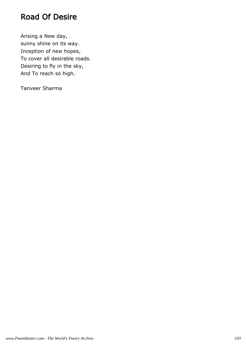### Road Of Desire

Arising a New day, sunny shine on its way. Inception of new hopes, To cover all desirable roads. Desiring to fly in the sky, And To reach so high.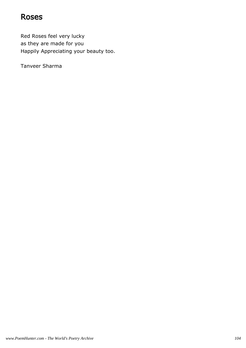#### Roses

Red Roses feel very lucky as they are made for you Happily Appreciating your beauty too.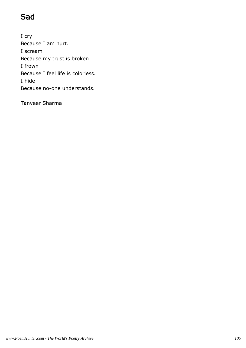## Sad

I cry Because I am hurt. I scream Because my trust is broken. I frown Because I feel life is colorless. I hide Because no-one understands.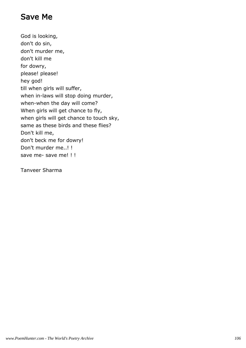### Save Me

God is looking, don't do sin, don't murder me, don't kill me for dowry, please! please! hey god! till when girls will suffer, when in-laws will stop doing murder, when-when the day will come? When girls will get chance to fly, when girls will get chance to touch sky, same as these birds and these flies? Don't kill me, don't beck me for dowry! Don't murder me..! ! save me- save me! ! !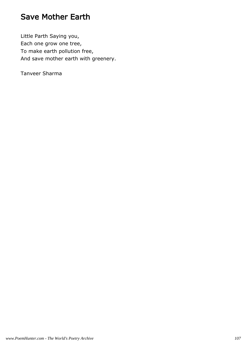### Save Mother Earth

Little Parth Saying you, Each one grow one tree, To make earth pollution free, And save mother earth with greenery.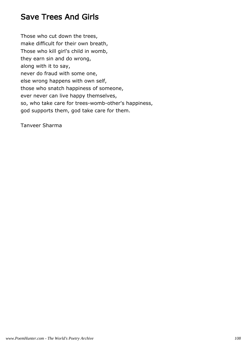### Save Trees And Girls

Those who cut down the trees, make difficult for their own breath, Those who kill girl's child in womb, they earn sin and do wrong, along with it to say, never do fraud with some one, else wrong happens with own self, those who snatch happiness of someone, ever never can live happy themselves, so, who take care for trees-womb-other's happiness, god supports them, god take care for them.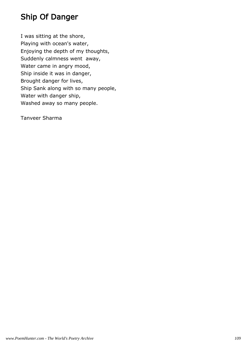## Ship Of Danger

I was sitting at the shore, Playing with ocean's water, Enjoying the depth of my thoughts, Suddenly calmness went away, Water came in angry mood, Ship inside it was in danger, Brought danger for lives, Ship Sank along with so many people, Water with danger ship, Washed away so many people.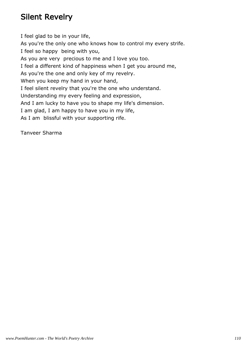## Silent Revelry

I feel glad to be in your life, As you're the only one who knows how to control my every strife. I feel so happy being with you, As you are very precious to me and I love you too. I feel a different kind of happiness when I get you around me, As you're the one and only key of my revelry. When you keep my hand in your hand, I feel silent revelry that you're the one who understand. Understanding my every feeling and expression, And I am lucky to have you to shape my life's dimension. I am glad, I am happy to have you in my life, As I am blissful with your supporting rife.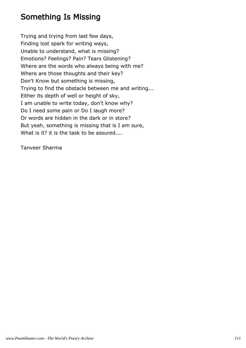#### Something Is Missing

Trying and trying from last few days, Finding lost spark for writing ways, Unable to understand, what is missing? Emotions? Feelings? Pain? Tears Glistening? Where are the words who always being with me? Where are those thoughts and their key? Don't Know but something is missing, Trying to find the obstacle between me and writing... Either its depth of well or height of sky, I am unable to write today, don't know why? Do I need some pain or Do I laugh more? Or words are hidden in the dark or in store? But yeah, something is missing that is I am sure, What is it? it is the task to be assured....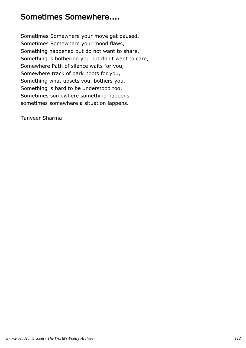#### Sometimes Somewhere....

Sometimes Somewhere your move get paused, Sometimes Somewhere your mood flaws, Something happened but do not want to share, Something is bothering you but don't want to care, Somewhere Path of silence waits for you, Somewhere track of dark hoots for you, Something what upsets you, bothers you, Something is hard to be understood too, Sometimes somewhere something happens, sometimes somewhere a situation lappens.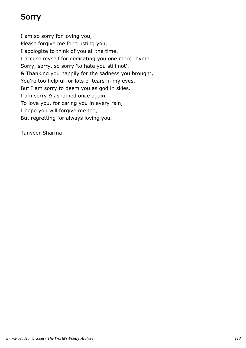# Sorry

I am so sorry for loving you, Please forgive me for trusting you, I apologize to think of you all the time, I accuse myself for dedicating you one more rhyme. Sorry, sorry, so sorry 'to hate you still not', & Thanking you happily for the sadness you brought, You're too helpful for lots of tears in my eyes, But I am sorry to deem you as god in skies. I am sorry & ashamed once again, To love you, for caring you in every rain, I hope you will forgive me too, But regretting for always loving you.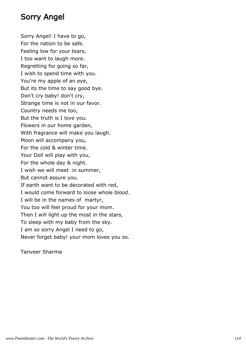#### Sorry Angel

Sorry Angel! I have to go, For the nation to be safe. Feeling low for your tears, I too want to laugh more. Regretting for going so far, I wish to spend time with you. You're my apple of an eye, But its the time to say good bye. Don't cry baby! don't cry, Strange time is not in our favor. Country needs me too, But the truth is I love you. Flowers in our home garden, With fragrance will make you laugh. Moon will accompany you, For the cold & winter time. Your Doll will play with you, For the whole day & night. I wish we will meet in summer, But cannot assure you. If earth want to be decorated with red, I would come forward to loose whole blood. I will be in the names of martyr, You too will feel proud for your mom. Then I will light up the most in the stars, To sleep with my baby from the sky. I am so sorry Angel I need to go, Never forget baby! your mom loves you so.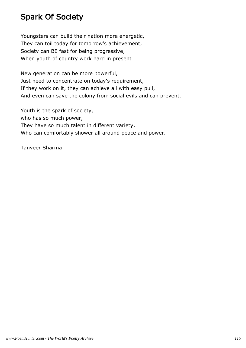### Spark Of Society

Youngsters can build their nation more energetic, They can toil today for tomorrow's achievement, Society can BE fast for being progressive, When youth of country work hard in present.

New generation can be more powerful, Just need to concentrate on today's requirement, If they work on it, they can achieve all with easy pull, And even can save the colony from social evils and can prevent.

Youth is the spark of society, who has so much power, They have so much talent in different variety, Who can comfortably shower all around peace and power.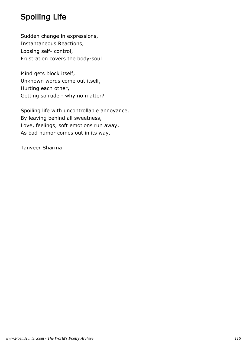## Spoiling Life

Sudden change in expressions, Instantaneous Reactions, Loosing self- control, Frustration covers the body-soul.

Mind gets block itself, Unknown words come out itself, Hurting each other, Getting so rude - why no matter?

Spoiling life with uncontrollable annoyance, By leaving behind all sweetness, Love, feelings, soft emotions run away, As bad humor comes out in its way.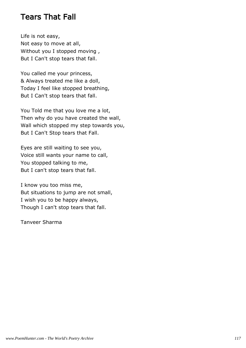#### Tears That Fall

Life is not easy, Not easy to move at all, Without you I stopped moving , But I Can't stop tears that fall.

You called me your princess, & Always treated me like a doll, Today I feel like stopped breathing, But I Can't stop tears that fall.

You Told me that you love me a lot, Then why do you have created the wall, Wall which stopped my step towards you, But I Can't Stop tears that Fall.

Eyes are still waiting to see you, Voice still wants your name to call, You stopped talking to me, But I can't stop tears that fall.

I know you too miss me, But situations to jump are not small, I wish you to be happy always, Though I can't stop tears that fall.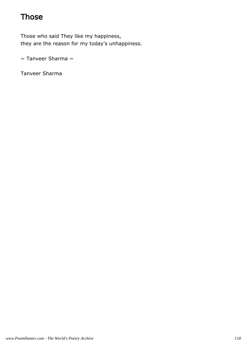### **Those**

Those who said They like my happiness, they are the reason for my today's unhappiness.

 $\sim$  Tanveer Sharma  $\sim$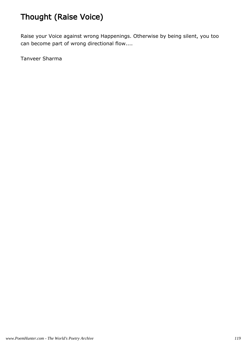# Thought (Raise Voice)

Raise your Voice against wrong Happenings. Otherwise by being silent, you too can become part of wrong directional flow....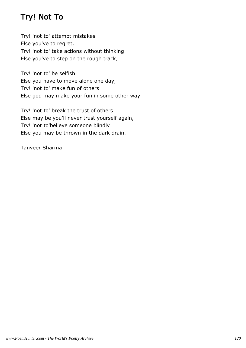## Try! Not To

Try! 'not to' attempt mistakes Else you've to regret, Try! 'not to' take actions without thinking Else you've to step on the rough track,

Try! 'not to' be selfish Else you have to move alone one day, Try! 'not to' make fun of others Else god may make your fun in some other way,

Try! 'not to' break the trust of others Else may be you'll never trust yourself again, Try! 'not to'believe someone blindly Else you may be thrown in the dark drain.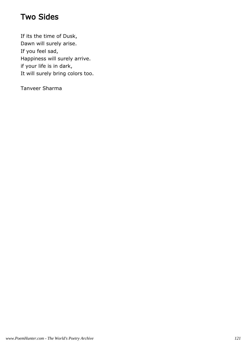### Two Sides

If its the time of Dusk, Dawn will surely arise. If you feel sad, Happiness will surely arrive. if your life is in dark, It will surely bring colors too.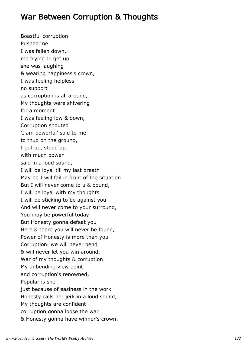### War Between Corruption & Thoughts

Boastful corruption Pushed me I was fallen down, me trying to get up she was laughing & wearing happiness's crown, I was feeling helpless no support as corruption is all around, My thoughts were shivering for a moment I was feeling low & down, Corruption shouted 'I am powerful' said to me to thud on the ground, I got up, stood up with much power said in a loud sound, I will be loyal till my last breath May be I will fail in front of the situation But I will never come to u & bound, I will be loyal with my thoughts I will be sticking to be against you And will never come to your surround, You may be powerful today But Honesty gonna defeat you Here & there you will never be found, Power of Honesty is more than you Corruption! we will never bend & will never let you win around, War of my thoughts & corruption My unbending view point and corruption's renowned, Popular is she just because of easiness in the work Honesty calls her jerk in a loud sound, My thoughts are confident corruption gonna loose the war & Honesty gonna have winner's crown.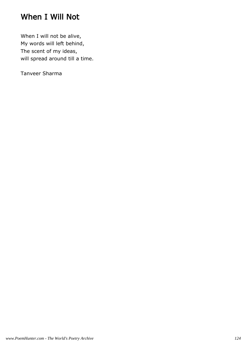### When I Will Not

When I will not be alive, My words will left behind, The scent of my ideas, will spread around till a time.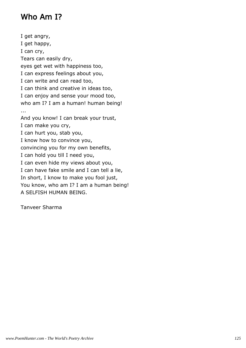### Who Am I?

I get angry, I get happy, I can cry, Tears can easily dry, eyes get wet with happiness too, I can express feelings about you, I can write and can read too, I can think and creative in ideas too, I can enjoy and sense your mood too, who am I? I am a human! human being! ... And you know! I can break your trust, I can make you cry, I can hurt you, stab you, I know how to convince you, convincing you for my own benefits, I can hold you till I need you, I can even hide my views about you, I can have fake smile and I can tell a lie, In short, I know to make you fool just, You know, who am I? I am a human being! A SELFISH HUMAN BEING.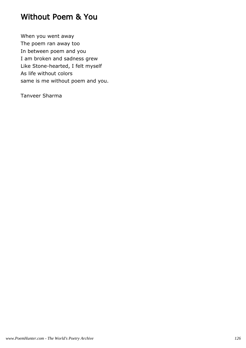#### Without Poem & You

When you went away The poem ran away too In between poem and you I am broken and sadness grew Like Stone-hearted, I felt myself As life without colors same is me without poem and you.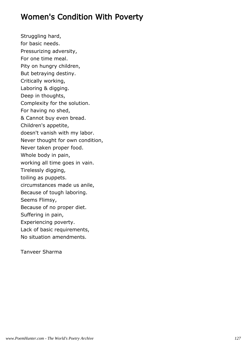### Women's Condition With Poverty

Struggling hard, for basic needs. Pressurizing adversity, For one time meal. Pity on hungry children, But betraying destiny. Critically working, Laboring & digging. Deep in thoughts, Complexity for the solution. For having no shed, & Cannot buy even bread. Children's appetite, doesn't vanish with my labor. Never thought for own condition, Never taken proper food. Whole body in pain, working all time goes in vain. Tirelessly digging, toiling as puppets. circumstances made us anile, Because of tough laboring. Seems Flimsy, Because of no proper diet. Suffering in pain, Experiencing poverty. Lack of basic requirements, No situation amendments.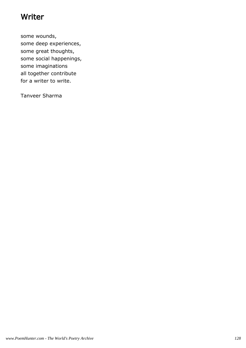#### **Writer**

some wounds, some deep experiences, some great thoughts, some social happenings, some imaginations all together contribute for a writer to write.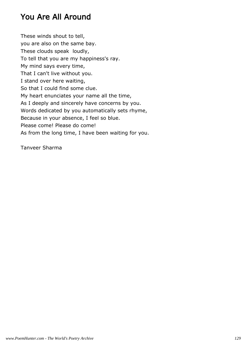### You Are All Around

These winds shout to tell, you are also on the same bay. These clouds speak loudly, To tell that you are my happiness's ray. My mind says every time, That I can't live without you. I stand over here waiting, So that I could find some clue. My heart enunciates your name all the time, As I deeply and sincerely have concerns by you. Words dedicated by you automatically sets rhyme, Because in your absence, I feel so blue. Please come! Please do come! As from the long time, I have been waiting for you.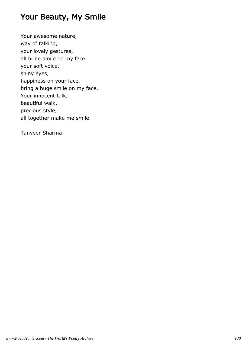### Your Beauty, My Smile

Your awesome nature, way of talking, your lovely gestures, all bring smile on my face. your soft voice, shiny eyes, happiness on your face, bring a huge smile on my face. Your innocent talk, beautiful walk, precious style, all together make me smile.